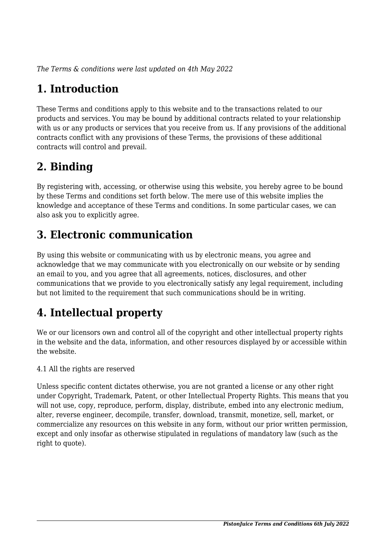*The Terms & conditions were last updated on 4th May 2022*

# **1. Introduction**

These Terms and conditions apply to this website and to the transactions related to our products and services. You may be bound by additional contracts related to your relationship with us or any products or services that you receive from us. If any provisions of the additional contracts conflict with any provisions of these Terms, the provisions of these additional contracts will control and prevail.

### **2. Binding**

By registering with, accessing, or otherwise using this website, you hereby agree to be bound by these Terms and conditions set forth below. The mere use of this website implies the knowledge and acceptance of these Terms and conditions. In some particular cases, we can also ask you to explicitly agree.

## **3. Electronic communication**

By using this website or communicating with us by electronic means, you agree and acknowledge that we may communicate with you electronically on our website or by sending an email to you, and you agree that all agreements, notices, disclosures, and other communications that we provide to you electronically satisfy any legal requirement, including but not limited to the requirement that such communications should be in writing.

# **4. Intellectual property**

We or our licensors own and control all of the copyright and other intellectual property rights in the website and the data, information, and other resources displayed by or accessible within the website.

4.1 All the rights are reserved

Unless specific content dictates otherwise, you are not granted a license or any other right under Copyright, Trademark, Patent, or other Intellectual Property Rights. This means that you will not use, copy, reproduce, perform, display, distribute, embed into any electronic medium, alter, reverse engineer, decompile, transfer, download, transmit, monetize, sell, market, or commercialize any resources on this website in any form, without our prior written permission, except and only insofar as otherwise stipulated in regulations of mandatory law (such as the right to quote).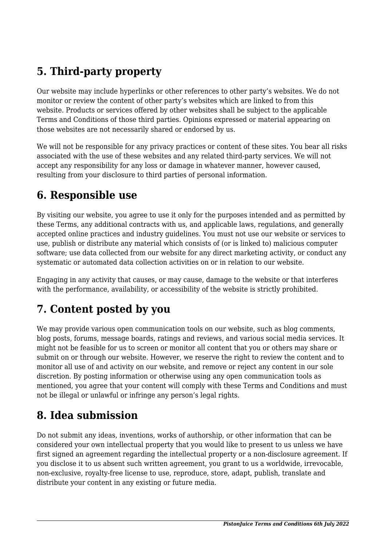## **5. Third-party property**

Our website may include hyperlinks or other references to other party's websites. We do not monitor or review the content of other party's websites which are linked to from this website. Products or services offered by other websites shall be subject to the applicable Terms and Conditions of those third parties. Opinions expressed or material appearing on those websites are not necessarily shared or endorsed by us.

We will not be responsible for any privacy practices or content of these sites. You bear all risks associated with the use of these websites and any related third-party services. We will not accept any responsibility for any loss or damage in whatever manner, however caused, resulting from your disclosure to third parties of personal information.

#### **6. Responsible use**

By visiting our website, you agree to use it only for the purposes intended and as permitted by these Terms, any additional contracts with us, and applicable laws, regulations, and generally accepted online practices and industry guidelines. You must not use our website or services to use, publish or distribute any material which consists of (or is linked to) malicious computer software; use data collected from our website for any direct marketing activity, or conduct any systematic or automated data collection activities on or in relation to our website.

Engaging in any activity that causes, or may cause, damage to the website or that interferes with the performance, availability, or accessibility of the website is strictly prohibited.

### **7. Content posted by you**

We may provide various open communication tools on our website, such as blog comments, blog posts, forums, message boards, ratings and reviews, and various social media services. It might not be feasible for us to screen or monitor all content that you or others may share or submit on or through our website. However, we reserve the right to review the content and to monitor all use of and activity on our website, and remove or reject any content in our sole discretion. By posting information or otherwise using any open communication tools as mentioned, you agree that your content will comply with these Terms and Conditions and must not be illegal or unlawful or infringe any person's legal rights.

#### **8. Idea submission**

Do not submit any ideas, inventions, works of authorship, or other information that can be considered your own intellectual property that you would like to present to us unless we have first signed an agreement regarding the intellectual property or a non-disclosure agreement. If you disclose it to us absent such written agreement, you grant to us a worldwide, irrevocable, non-exclusive, royalty-free license to use, reproduce, store, adapt, publish, translate and distribute your content in any existing or future media.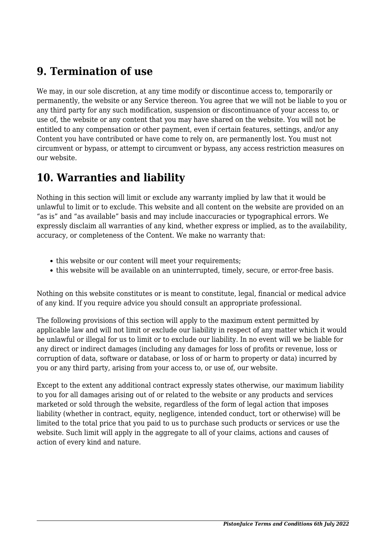#### **9. Termination of use**

We may, in our sole discretion, at any time modify or discontinue access to, temporarily or permanently, the website or any Service thereon. You agree that we will not be liable to you or any third party for any such modification, suspension or discontinuance of your access to, or use of, the website or any content that you may have shared on the website. You will not be entitled to any compensation or other payment, even if certain features, settings, and/or any Content you have contributed or have come to rely on, are permanently lost. You must not circumvent or bypass, or attempt to circumvent or bypass, any access restriction measures on our website.

#### **10. Warranties and liability**

Nothing in this section will limit or exclude any warranty implied by law that it would be unlawful to limit or to exclude. This website and all content on the website are provided on an "as is" and "as available" basis and may include inaccuracies or typographical errors. We expressly disclaim all warranties of any kind, whether express or implied, as to the availability, accuracy, or completeness of the Content. We make no warranty that:

- this website or our content will meet your requirements;
- this website will be available on an uninterrupted, timely, secure, or error-free basis.

Nothing on this website constitutes or is meant to constitute, legal, financial or medical advice of any kind. If you require advice you should consult an appropriate professional.

The following provisions of this section will apply to the maximum extent permitted by applicable law and will not limit or exclude our liability in respect of any matter which it would be unlawful or illegal for us to limit or to exclude our liability. In no event will we be liable for any direct or indirect damages (including any damages for loss of profits or revenue, loss or corruption of data, software or database, or loss of or harm to property or data) incurred by you or any third party, arising from your access to, or use of, our website.

Except to the extent any additional contract expressly states otherwise, our maximum liability to you for all damages arising out of or related to the website or any products and services marketed or sold through the website, regardless of the form of legal action that imposes liability (whether in contract, equity, negligence, intended conduct, tort or otherwise) will be limited to the total price that you paid to us to purchase such products or services or use the website. Such limit will apply in the aggregate to all of your claims, actions and causes of action of every kind and nature.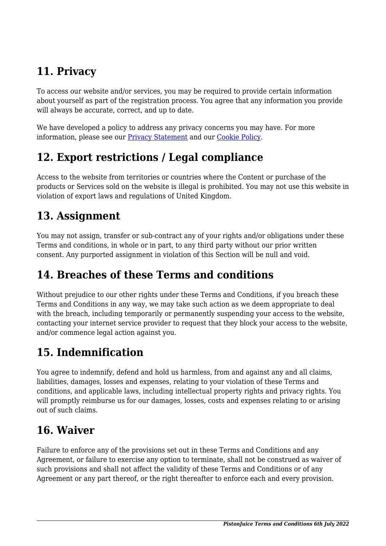# **11. Privacy**

To access our website and/or services, you may be required to provide certain information about yourself as part of the registration process. You agree that any information you provide will always be accurate, correct, and up to date.

We have developed a policy to address any privacy concerns you may have. For more information, please see our Privacy Statement and our [Cookie Policy](https://www.pistonjuice.com/cookie-policy-uk/).

### **12. Export restrictions / Legal compliance**

Access to the website from territories or countries where the Content or purchase of the products or Services sold on the website is illegal is prohibited. You may not use this website in violation of export laws and regulations of United Kingdom.

#### **13. Assignment**

You may not assign, transfer or sub-contract any of your rights and/or obligations under these Terms and conditions, in whole or in part, to any third party without our prior written consent. Any purported assignment in violation of this Section will be null and void.

#### **14. Breaches of these Terms and conditions**

Without prejudice to our other rights under these Terms and Conditions, if you breach these Terms and Conditions in any way, we may take such action as we deem appropriate to deal with the breach, including temporarily or permanently suspending your access to the website, contacting your internet service provider to request that they block your access to the website, and/or commence legal action against you.

### **15. Indemnification**

You agree to indemnify, defend and hold us harmless, from and against any and all claims, liabilities, damages, losses and expenses, relating to your violation of these Terms and conditions, and applicable laws, including intellectual property rights and privacy rights. You will promptly reimburse us for our damages, losses, costs and expenses relating to or arising out of such claims.

### **16. Waiver**

Failure to enforce any of the provisions set out in these Terms and Conditions and any Agreement, or failure to exercise any option to terminate, shall not be construed as waiver of such provisions and shall not affect the validity of these Terms and Conditions or of any Agreement or any part thereof, or the right thereafter to enforce each and every provision.